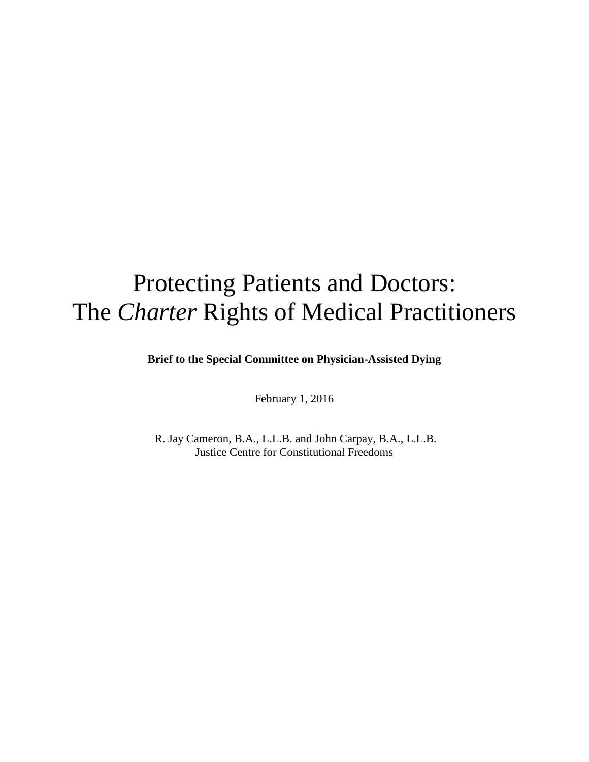# Protecting Patients and Doctors: The *Charter* Rights of Medical Practitioners

**Brief to the Special Committee on Physician-Assisted Dying**

February 1, 2016

R. Jay Cameron, B.A., L.L.B. and John Carpay, B.A., L.L.B. Justice Centre for Constitutional Freedoms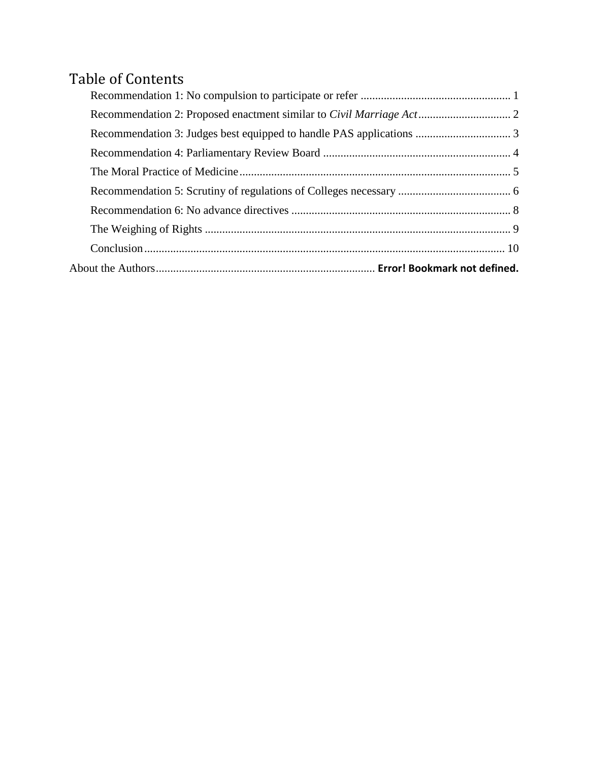## Table of Contents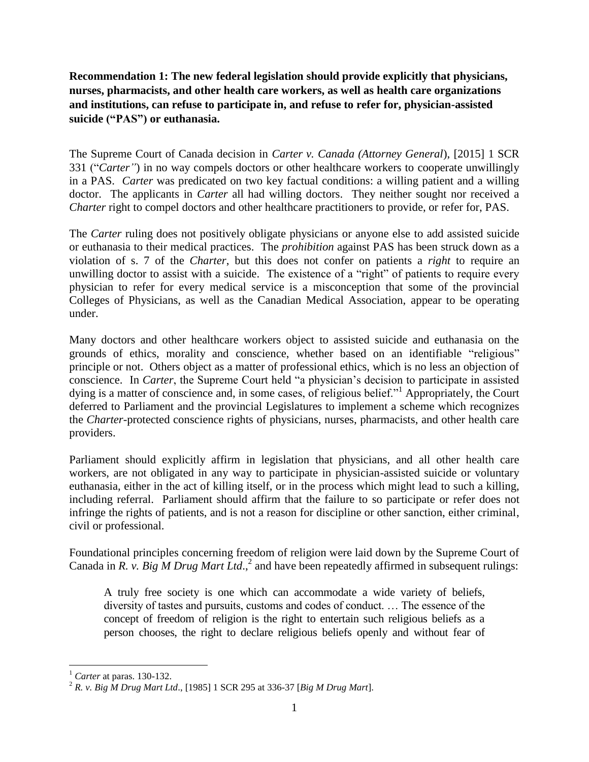<span id="page-2-0"></span>**Recommendation 1: The new federal legislation should provide explicitly that physicians, nurses, pharmacists, and other health care workers, as well as health care organizations and institutions, can refuse to participate in, and refuse to refer for, physician-assisted suicide ("PAS") or euthanasia.**

The Supreme Court of Canada decision in *Carter v. Canada (Attorney General*), [2015] 1 SCR 331 ("*Carter"*) in no way compels doctors or other healthcare workers to cooperate unwillingly in a PAS. *Carter* was predicated on two key factual conditions: a willing patient and a willing doctor. The applicants in *Carter* all had willing doctors. They neither sought nor received a *Charter* right to compel doctors and other healthcare practitioners to provide, or refer for, PAS.

The *Carter* ruling does not positively obligate physicians or anyone else to add assisted suicide or euthanasia to their medical practices. The *prohibition* against PAS has been struck down as a violation of s. 7 of the *Charter*, but this does not confer on patients a *right* to require an unwilling doctor to assist with a suicide. The existence of a "right" of patients to require every physician to refer for every medical service is a misconception that some of the provincial Colleges of Physicians, as well as the Canadian Medical Association, appear to be operating under.

Many doctors and other healthcare workers object to assisted suicide and euthanasia on the grounds of ethics, morality and conscience, whether based on an identifiable "religious" principle or not. Others object as a matter of professional ethics, which is no less an objection of conscience. In *Carter*, the Supreme Court held "a physician's decision to participate in assisted dying is a matter of conscience and, in some cases, of religious belief."<sup>1</sup> Appropriately, the Court deferred to Parliament and the provincial Legislatures to implement a scheme which recognizes the *Charter*-protected conscience rights of physicians, nurses, pharmacists, and other health care providers.

Parliament should explicitly affirm in legislation that physicians, and all other health care workers, are not obligated in any way to participate in physician-assisted suicide or voluntary euthanasia, either in the act of killing itself, or in the process which might lead to such a killing, including referral. Parliament should affirm that the failure to so participate or refer does not infringe the rights of patients, and is not a reason for discipline or other sanction, either criminal, civil or professional.

Foundational principles concerning freedom of religion were laid down by the Supreme Court of Canada in *R. v. Big M Drug Mart Ltd.*,<sup>2</sup> and have been repeatedly affirmed in subsequent rulings:

A truly free society is one which can accommodate a wide variety of beliefs, diversity of tastes and pursuits, customs and codes of conduct. … The essence of the concept of freedom of religion is the right to entertain such religious beliefs as a person chooses, the right to declare religious beliefs openly and without fear of

 $\overline{\phantom{a}}$ <sup>1</sup> *Carter* at paras. 130-132.

<sup>2</sup> *R. v. Big M Drug Mart Ltd*., [1985] 1 SCR 295 at 336-37 [*Big M Drug Mart*].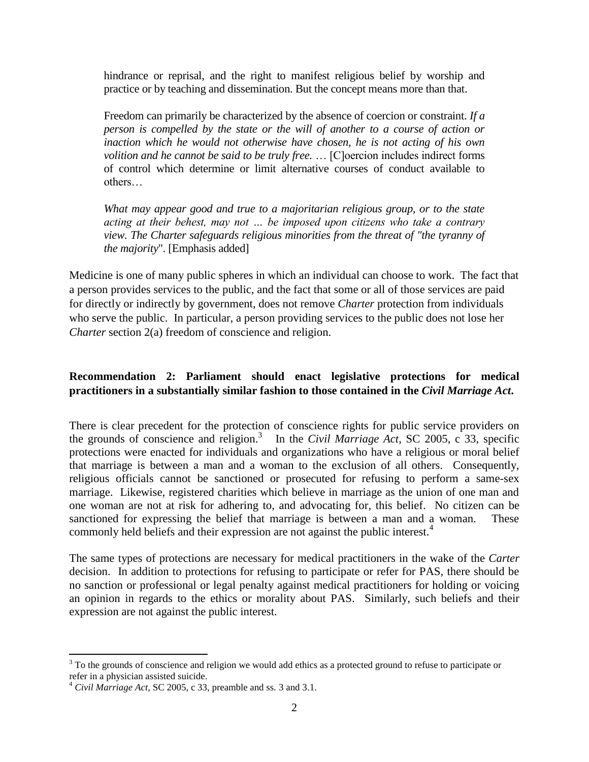hindrance or reprisal, and the right to manifest religious belief by worship and practice or by teaching and dissemination. But the concept means more than that.

Freedom can primarily be characterized by the absence of coercion or constraint. *If a person is compelled by the state or the will of another to a course of action or inaction which he would not otherwise have chosen, he is not acting of his own volition and he cannot be said to be truly free.* … [C]oercion includes indirect forms of control which determine or limit alternative courses of conduct available to others…

*What may appear good and true to a majoritarian religious group, or to the state acting at their behest, may not … be imposed upon citizens who take a contrary view. The [Charter](http://www.canlii.org/en/ca/laws/stat/schedule-b-to-the-canada-act-1982-uk-1982-c-11/latest/schedule-b-to-the-canada-act-1982-uk-1982-c-11.html) safeguards religious minorities from the threat of "the tyranny of the majority*". [Emphasis added]

Medicine is one of many public spheres in which an individual can choose to work. The fact that a person provides services to the public, and the fact that some or all of those services are paid for directly or indirectly by government, does not remove *Charter* protection from individuals who serve the public. In particular, a person providing services to the public does not lose her *Charter* section 2(a) freedom of conscience and religion.

#### <span id="page-3-0"></span>**Recommendation 2: Parliament should enact legislative protections for medical practitioners in a substantially similar fashion to those contained in the** *Civil Marriage Act***.**

There is clear precedent for the protection of conscience rights for public service providers on the grounds of conscience and religion. 3 In the *Civil Marriage Act*, SC 2005, c 33, specific protections were enacted for individuals and organizations who have a religious or moral belief that marriage is between a man and a woman to the exclusion of all others. Consequently, religious officials cannot be sanctioned or prosecuted for refusing to perform a same-sex marriage. Likewise, registered charities which believe in marriage as the union of one man and one woman are not at risk for adhering to, and advocating for, this belief. No citizen can be sanctioned for expressing the belief that marriage is between a man and a woman. These commonly held beliefs and their expression are not against the public interest.<sup>4</sup>

The same types of protections are necessary for medical practitioners in the wake of the *Carter* decision. In addition to protections for refusing to participate or refer for PAS, there should be no sanction or professional or legal penalty against medical practitioners for holding or voicing an opinion in regards to the ethics or morality about PAS. Similarly, such beliefs and their expression are not against the public interest.

 $\overline{\phantom{a}}$  $3$  To the grounds of conscience and religion we would add ethics as a protected ground to refuse to participate or refer in a physician assisted suicide.

<sup>4</sup> *Civil Marriage Act*, SC 2005, c 33, preamble and ss. 3 and 3.1.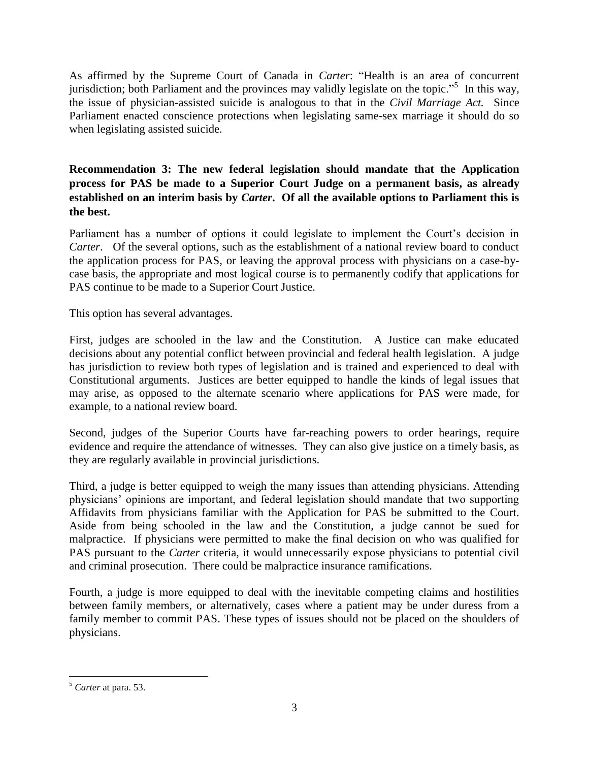As affirmed by the Supreme Court of Canada in *Carter*: "Health is an area of concurrent jurisdiction; both Parliament and the provinces may validly legislate on the topic."<sup>5</sup> In this way, the issue of physician-assisted suicide is analogous to that in the *Civil Marriage Act.* Since Parliament enacted conscience protections when legislating same-sex marriage it should do so when legislating assisted suicide.

<span id="page-4-0"></span>**Recommendation 3: The new federal legislation should mandate that the Application process for PAS be made to a Superior Court Judge on a permanent basis, as already established on an interim basis by** *Carter***. Of all the available options to Parliament this is the best.** 

Parliament has a number of options it could legislate to implement the Court's decision in *Carter*. Of the several options, such as the establishment of a national review board to conduct the application process for PAS, or leaving the approval process with physicians on a case-bycase basis, the appropriate and most logical course is to permanently codify that applications for PAS continue to be made to a Superior Court Justice.

This option has several advantages.

First, judges are schooled in the law and the Constitution. A Justice can make educated decisions about any potential conflict between provincial and federal health legislation. A judge has jurisdiction to review both types of legislation and is trained and experienced to deal with Constitutional arguments. Justices are better equipped to handle the kinds of legal issues that may arise, as opposed to the alternate scenario where applications for PAS were made, for example, to a national review board.

Second, judges of the Superior Courts have far-reaching powers to order hearings, require evidence and require the attendance of witnesses. They can also give justice on a timely basis, as they are regularly available in provincial jurisdictions.

Third, a judge is better equipped to weigh the many issues than attending physicians. Attending physicians' opinions are important, and federal legislation should mandate that two supporting Affidavits from physicians familiar with the Application for PAS be submitted to the Court. Aside from being schooled in the law and the Constitution, a judge cannot be sued for malpractice. If physicians were permitted to make the final decision on who was qualified for PAS pursuant to the *Carter* criteria, it would unnecessarily expose physicians to potential civil and criminal prosecution. There could be malpractice insurance ramifications.

Fourth, a judge is more equipped to deal with the inevitable competing claims and hostilities between family members, or alternatively, cases where a patient may be under duress from a family member to commit PAS. These types of issues should not be placed on the shoulders of physicians.

 $\overline{\phantom{a}}$ <sup>5</sup> *Carter* at para. 53.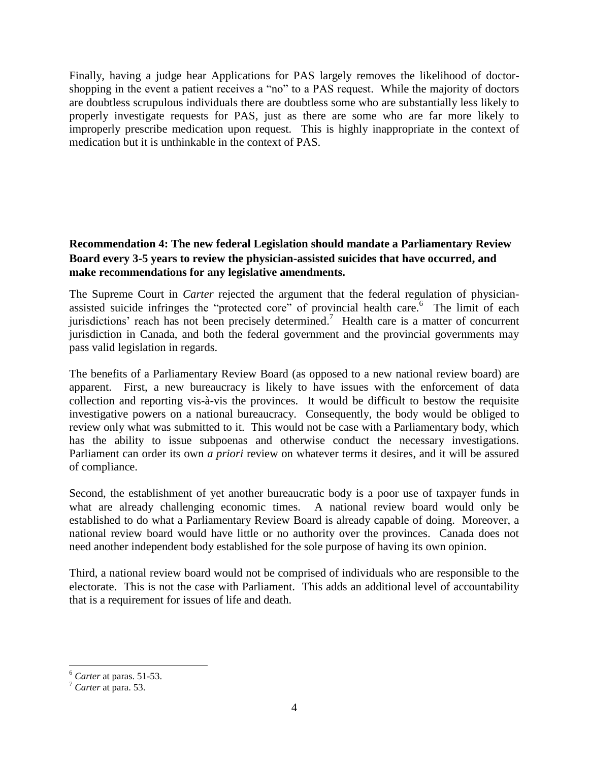Finally, having a judge hear Applications for PAS largely removes the likelihood of doctorshopping in the event a patient receives a "no" to a PAS request. While the majority of doctors are doubtless scrupulous individuals there are doubtless some who are substantially less likely to properly investigate requests for PAS, just as there are some who are far more likely to improperly prescribe medication upon request. This is highly inappropriate in the context of medication but it is unthinkable in the context of PAS.

#### <span id="page-5-0"></span>**Recommendation 4: The new federal Legislation should mandate a Parliamentary Review Board every 3-5 years to review the physician-assisted suicides that have occurred, and make recommendations for any legislative amendments.**

The Supreme Court in *Carter* rejected the argument that the federal regulation of physicianassisted suicide infringes the "protected core" of provincial health care.  $6$  The limit of each jurisdictions' reach has not been precisely determined.<sup>7</sup> Health care is a matter of concurrent jurisdiction in Canada, and both the federal government and the provincial governments may pass valid legislation in regards.

The benefits of a Parliamentary Review Board (as opposed to a new national review board) are apparent. First, a new bureaucracy is likely to have issues with the enforcement of data collection and reporting vis-à-vis the provinces. It would be difficult to bestow the requisite investigative powers on a national bureaucracy. Consequently, the body would be obliged to review only what was submitted to it. This would not be case with a Parliamentary body, which has the ability to issue subpoenas and otherwise conduct the necessary investigations. Parliament can order its own *a priori* review on whatever terms it desires, and it will be assured of compliance.

Second, the establishment of yet another bureaucratic body is a poor use of taxpayer funds in what are already challenging economic times. A national review board would only be established to do what a Parliamentary Review Board is already capable of doing. Moreover, a national review board would have little or no authority over the provinces. Canada does not need another independent body established for the sole purpose of having its own opinion.

Third, a national review board would not be comprised of individuals who are responsible to the electorate. This is not the case with Parliament. This adds an additional level of accountability that is a requirement for issues of life and death.

 $\overline{\phantom{a}}$ 

<sup>6</sup> *Carter* at paras. 51-53.

<sup>7</sup> *Carter* at para. 53.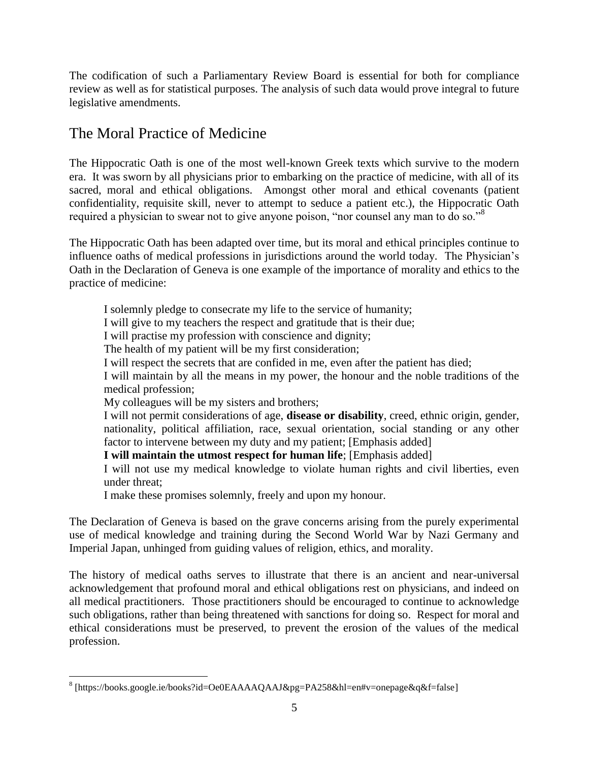The codification of such a Parliamentary Review Board is essential for both for compliance review as well as for statistical purposes. The analysis of such data would prove integral to future legislative amendments.

## <span id="page-6-0"></span>The Moral Practice of Medicine

The Hippocratic Oath is one of the most well-known Greek texts which survive to the modern era. It was sworn by all physicians prior to embarking on the practice of medicine, with all of its sacred, moral and ethical obligations. Amongst other moral and ethical covenants (patient confidentiality, requisite skill, never to attempt to seduce a patient etc.), the Hippocratic Oath required a physician to swear not to give anyone poison, "nor counsel any man to do so."<sup>8</sup>

The Hippocratic Oath has been adapted over time, but its moral and ethical principles continue to influence oaths of medical professions in jurisdictions around the world today. The Physician's Oath in the Declaration of Geneva is one example of the importance of morality and ethics to the practice of medicine:

I solemnly pledge to consecrate my life to the service of humanity; I will give to my teachers the respect and gratitude that is their due; I will practise my profession with conscience and dignity; The health of my patient will be my first consideration; I will respect the secrets that are confided in me, even after the patient has died; I will maintain by all the means in my power, the honour and the noble traditions of the medical profession; My colleagues will be my sisters and brothers; I will not permit considerations of age, **disease or disability**, creed, ethnic origin, gender, nationality, political affiliation, race, sexual orientation, social standing or any other factor to intervene between my duty and my patient; [Emphasis added] **I will maintain the utmost respect for human life**; [Emphasis added] I will not use my medical knowledge to violate human rights and civil liberties, even under threat; I make these promises solemnly, freely and upon my honour.

The Declaration of Geneva is based on the grave concerns arising from the purely experimental use of medical knowledge and training during the Second World War by Nazi Germany and Imperial Japan, unhinged from guiding values of religion, ethics, and morality.

The history of medical oaths serves to illustrate that there is an ancient and near-universal acknowledgement that profound moral and ethical obligations rest on physicians, and indeed on all medical practitioners. Those practitioners should be encouraged to continue to acknowledge such obligations, rather than being threatened with sanctions for doing so. Respect for moral and ethical considerations must be preserved, to prevent the erosion of the values of the medical profession.

 $\overline{\phantom{a}}$ 

<sup>8</sup> [https://books.google.ie/books?id=Oe0EAAAAQAAJ&pg=PA258&hl=en#v=onepage&q&f=false]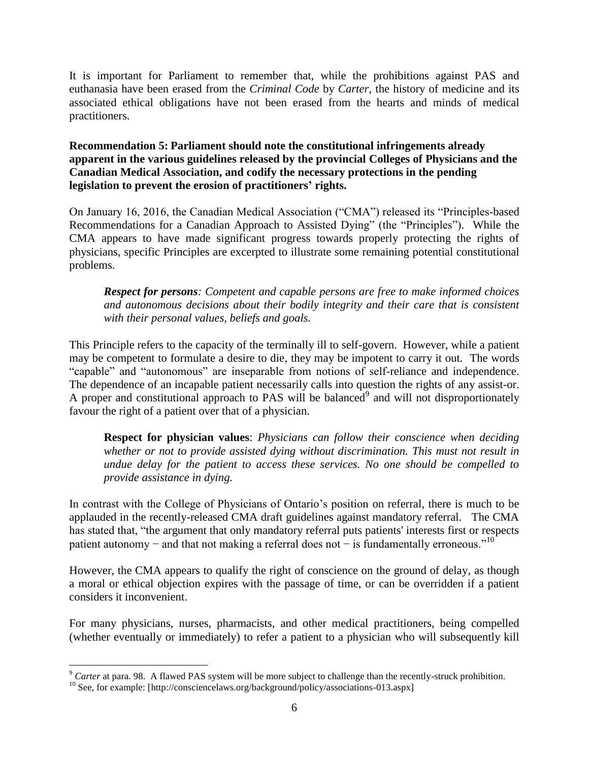It is important for Parliament to remember that, while the prohibitions against PAS and euthanasia have been erased from the *Criminal Code* by *Carter*, the history of medicine and its associated ethical obligations have not been erased from the hearts and minds of medical practitioners.

#### <span id="page-7-0"></span>**Recommendation 5: Parliament should note the constitutional infringements already apparent in the various guidelines released by the provincial Colleges of Physicians and the Canadian Medical Association, and codify the necessary protections in the pending legislation to prevent the erosion of practitioners' rights.**

On January 16, 2016, the Canadian Medical Association ("CMA") released its "Principles-based Recommendations for a Canadian Approach to Assisted Dying" (the "Principles"). While the CMA appears to have made significant progress towards properly protecting the rights of physicians, specific Principles are excerpted to illustrate some remaining potential constitutional problems.

*Respect for persons: Competent and capable persons are free to make informed choices and autonomous decisions about their bodily integrity and their care that is consistent with their personal values, beliefs and goals.* 

This Principle refers to the capacity of the terminally ill to self-govern. However, while a patient may be competent to formulate a desire to die, they may be impotent to carry it out. The words "capable" and "autonomous" are inseparable from notions of self-reliance and independence. The dependence of an incapable patient necessarily calls into question the rights of any assist-or. A proper and constitutional approach to PAS will be balanced<sup>9</sup> and will not disproportionately favour the right of a patient over that of a physician.

**Respect for physician values**: *Physicians can follow their conscience when deciding whether or not to provide assisted dying without discrimination. This must not result in undue delay for the patient to access these services. No one should be compelled to provide assistance in dying.*

In contrast with the College of Physicians of Ontario's position on referral, there is much to be applauded in the recently-released CMA draft guidelines against mandatory referral. The CMA has stated that, "the argument that only mandatory referral puts patients' interests first or respects patient autonomy – and that not making a referral does not – is fundamentally erroneous."<sup>10</sup>

However, the CMA appears to qualify the right of conscience on the ground of delay, as though a moral or ethical objection expires with the passage of time, or can be overridden if a patient considers it inconvenient.

For many physicians, nurses, pharmacists, and other medical practitioners, being compelled (whether eventually or immediately) to refer a patient to a physician who will subsequently kill

 $\overline{\phantom{a}}$ <sup>9</sup> *Carter* at para. 98. A flawed PAS system will be more subject to challenge than the recently-struck prohibition.

 $10$  See, for example: [http://consciencelaws.org/background/policy/associations-013.aspx]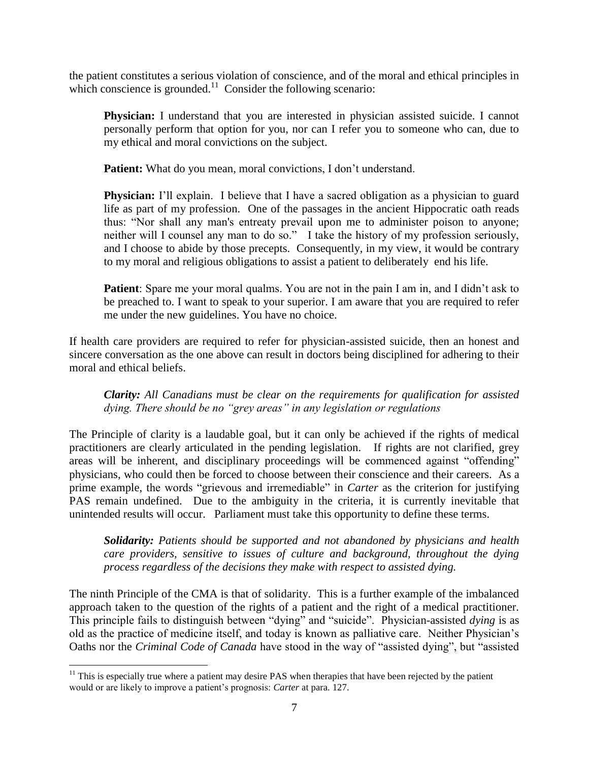the patient constitutes a serious violation of conscience, and of the moral and ethical principles in which conscience is grounded. $11$  Consider the following scenario:

**Physician:** I understand that you are interested in physician assisted suicide. I cannot personally perform that option for you, nor can I refer you to someone who can, due to my ethical and moral convictions on the subject.

Patient: What do you mean, moral convictions, I don't understand.

**Physician:** I'll explain. I believe that I have a sacred obligation as a physician to guard life as part of my profession. One of the passages in the ancient Hippocratic oath reads thus: "Nor shall any man's entreaty prevail upon me to administer poison to anyone; neither will I counsel any man to do so." I take the history of my profession seriously, and I choose to abide by those precepts. Consequently, in my view, it would be contrary to my moral and religious obligations to assist a patient to deliberately end his life.

**Patient**: Spare me your moral qualms. You are not in the pain I am in, and I didn't ask to be preached to. I want to speak to your superior. I am aware that you are required to refer me under the new guidelines. You have no choice.

If health care providers are required to refer for physician-assisted suicide, then an honest and sincere conversation as the one above can result in doctors being disciplined for adhering to their moral and ethical beliefs.

*Clarity: All Canadians must be clear on the requirements for qualification for assisted dying. There should be no "grey areas" in any legislation or regulations*

The Principle of clarity is a laudable goal, but it can only be achieved if the rights of medical practitioners are clearly articulated in the pending legislation. If rights are not clarified, grey areas will be inherent, and disciplinary proceedings will be commenced against "offending" physicians, who could then be forced to choose between their conscience and their careers. As a prime example, the words "grievous and irremediable" in *Carter* as the criterion for justifying PAS remain undefined. Due to the ambiguity in the criteria, it is currently inevitable that unintended results will occur. Parliament must take this opportunity to define these terms.

*Solidarity: Patients should be supported and not abandoned by physicians and health care providers, sensitive to issues of culture and background, throughout the dying process regardless of the decisions they make with respect to assisted dying.* 

The ninth Principle of the CMA is that of solidarity. This is a further example of the imbalanced approach taken to the question of the rights of a patient and the right of a medical practitioner. This principle fails to distinguish between "dying" and "suicide". Physician-assisted *dying* is as old as the practice of medicine itself, and today is known as palliative care. Neither Physician's Oaths nor the *Criminal Code of Canada* have stood in the way of "assisted dying", but "assisted

 $\overline{\phantom{a}}$  $11$  This is especially true where a patient may desire PAS when therapies that have been rejected by the patient would or are likely to improve a patient's prognosis: *Carter* at para. 127.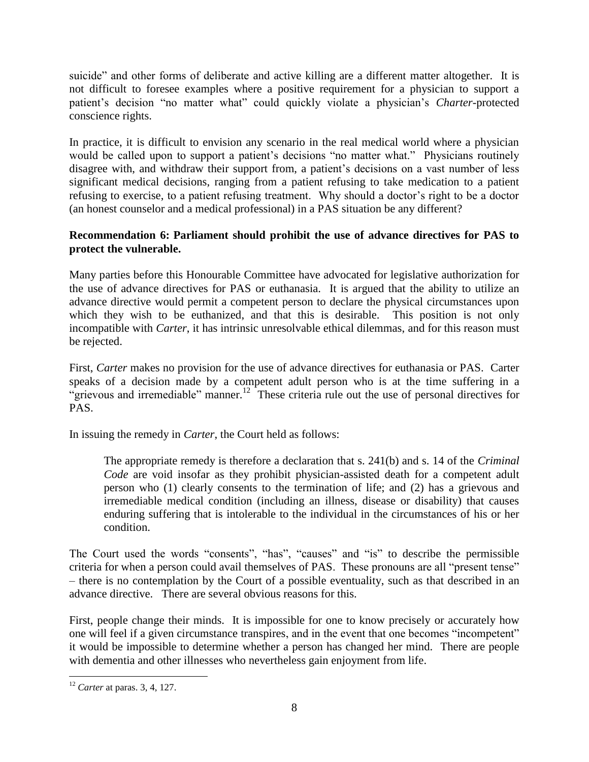suicide" and other forms of deliberate and active killing are a different matter altogether. It is not difficult to foresee examples where a positive requirement for a physician to support a patient's decision "no matter what" could quickly violate a physician's *Charter*-protected conscience rights.

In practice, it is difficult to envision any scenario in the real medical world where a physician would be called upon to support a patient's decisions "no matter what." Physicians routinely disagree with, and withdraw their support from, a patient's decisions on a vast number of less significant medical decisions, ranging from a patient refusing to take medication to a patient refusing to exercise, to a patient refusing treatment. Why should a doctor's right to be a doctor (an honest counselor and a medical professional) in a PAS situation be any different?

#### <span id="page-9-0"></span>**Recommendation 6: Parliament should prohibit the use of advance directives for PAS to protect the vulnerable.**

Many parties before this Honourable Committee have advocated for legislative authorization for the use of advance directives for PAS or euthanasia. It is argued that the ability to utilize an advance directive would permit a competent person to declare the physical circumstances upon which they wish to be euthanized, and that this is desirable. This position is not only incompatible with *Carter*, it has intrinsic unresolvable ethical dilemmas, and for this reason must be rejected.

First, *Carter* makes no provision for the use of advance directives for euthanasia or PAS. Carter speaks of a decision made by a competent adult person who is at the time suffering in a "grievous and irremediable" manner.<sup>12</sup> These criteria rule out the use of personal directives for PAS.

In issuing the remedy in *Carter*, the Court held as follows:

The appropriate remedy is therefore a declaration that s. 241(b) and s. 14 of the *Criminal Code* are void insofar as they prohibit physician-assisted death for a competent adult person who (1) clearly consents to the termination of life; and (2) has a grievous and irremediable medical condition (including an illness, disease or disability) that causes enduring suffering that is intolerable to the individual in the circumstances of his or her condition.

The Court used the words "consents", "has", "causes" and "is" to describe the permissible criteria for when a person could avail themselves of PAS. These pronouns are all "present tense" – there is no contemplation by the Court of a possible eventuality, such as that described in an advance directive. There are several obvious reasons for this.

First, people change their minds. It is impossible for one to know precisely or accurately how one will feel if a given circumstance transpires, and in the event that one becomes "incompetent" it would be impossible to determine whether a person has changed her mind. There are people with dementia and other illnesses who nevertheless gain enjoyment from life.

 $\overline{\phantom{a}}$ <sup>12</sup> *Carter* at paras. 3, 4, 127.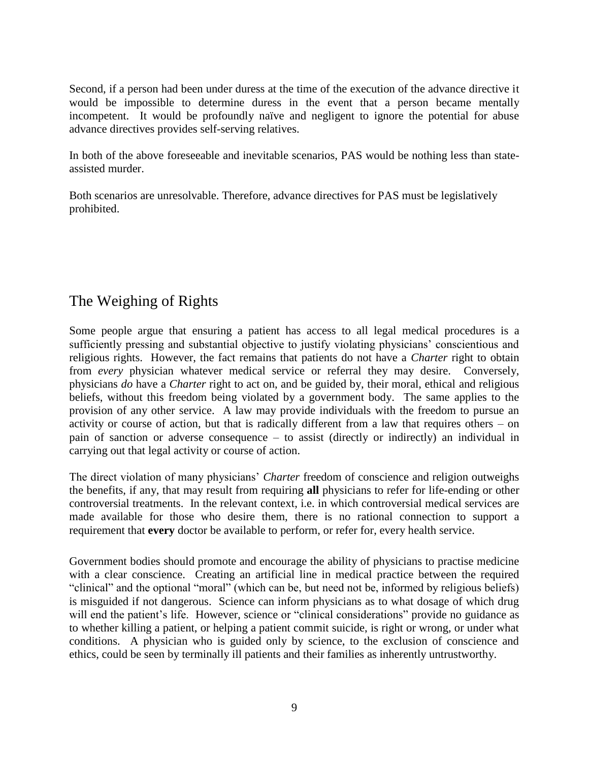Second, if a person had been under duress at the time of the execution of the advance directive it would be impossible to determine duress in the event that a person became mentally incompetent. It would be profoundly naïve and negligent to ignore the potential for abuse advance directives provides self-serving relatives.

In both of the above foreseeable and inevitable scenarios, PAS would be nothing less than stateassisted murder.

Both scenarios are unresolvable. Therefore, advance directives for PAS must be legislatively prohibited.

## <span id="page-10-0"></span>The Weighing of Rights

Some people argue that ensuring a patient has access to all legal medical procedures is a sufficiently pressing and substantial objective to justify violating physicians' conscientious and religious rights. However, the fact remains that patients do not have a *Charter* right to obtain from *every* physician whatever medical service or referral they may desire. Conversely, physicians *do* have a *Charter* right to act on, and be guided by, their moral, ethical and religious beliefs, without this freedom being violated by a government body. The same applies to the provision of any other service. A law may provide individuals with the freedom to pursue an activity or course of action, but that is radically different from a law that requires others – on pain of sanction or adverse consequence – to assist (directly or indirectly) an individual in carrying out that legal activity or course of action.

The direct violation of many physicians' *Charter* freedom of conscience and religion outweighs the benefits, if any, that may result from requiring **all** physicians to refer for life-ending or other controversial treatments. In the relevant context, i.e. in which controversial medical services are made available for those who desire them, there is no rational connection to support a requirement that **every** doctor be available to perform, or refer for, every health service.

Government bodies should promote and encourage the ability of physicians to practise medicine with a clear conscience. Creating an artificial line in medical practice between the required "clinical" and the optional "moral" (which can be, but need not be, informed by religious beliefs) is misguided if not dangerous. Science can inform physicians as to what dosage of which drug will end the patient's life. However, science or "clinical considerations" provide no guidance as to whether killing a patient, or helping a patient commit suicide, is right or wrong, or under what conditions. A physician who is guided only by science, to the exclusion of conscience and ethics, could be seen by terminally ill patients and their families as inherently untrustworthy.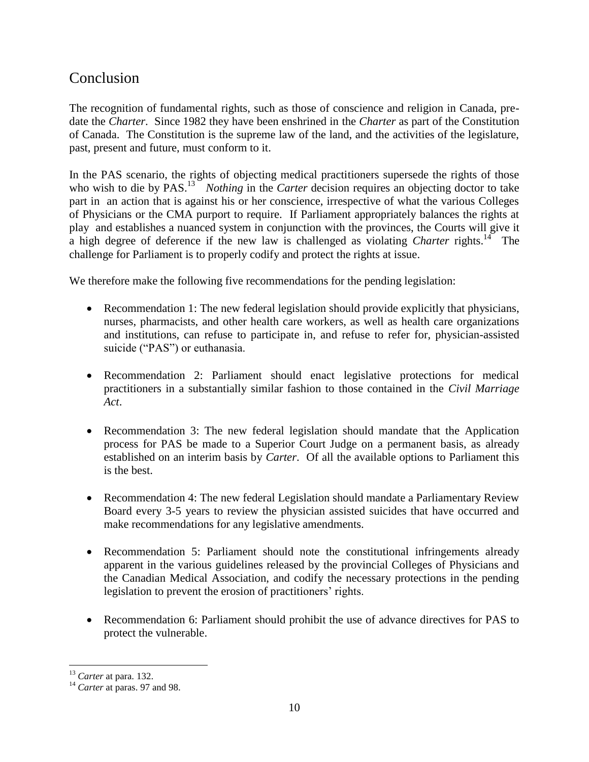### <span id="page-11-0"></span>Conclusion

The recognition of fundamental rights, such as those of conscience and religion in Canada, predate the *Charter*. Since 1982 they have been enshrined in the *Charter* as part of the Constitution of Canada. The Constitution is the supreme law of the land, and the activities of the legislature, past, present and future, must conform to it.

In the PAS scenario, the rights of objecting medical practitioners supersede the rights of those who wish to die by PAS.<sup>13</sup> *Nothing* in the *Carter* decision requires an objecting doctor to take part in an action that is against his or her conscience, irrespective of what the various Colleges of Physicians or the CMA purport to require. If Parliament appropriately balances the rights at play and establishes a nuanced system in conjunction with the provinces, the Courts will give it a high degree of deference if the new law is challenged as violating *Charter* rights.<sup>14</sup> The challenge for Parliament is to properly codify and protect the rights at issue.

We therefore make the following five recommendations for the pending legislation:

- Recommendation 1: The new federal legislation should provide explicitly that physicians, nurses, pharmacists, and other health care workers, as well as health care organizations and institutions, can refuse to participate in, and refuse to refer for, physician-assisted suicide ("PAS") or euthanasia.
- Recommendation 2: Parliament should enact legislative protections for medical practitioners in a substantially similar fashion to those contained in the *Civil Marriage Act*.
- Recommendation 3: The new federal legislation should mandate that the Application process for PAS be made to a Superior Court Judge on a permanent basis, as already established on an interim basis by *Carter*. Of all the available options to Parliament this is the best.
- Recommendation 4: The new federal Legislation should mandate a Parliamentary Review Board every 3-5 years to review the physician assisted suicides that have occurred and make recommendations for any legislative amendments.
- Recommendation 5: Parliament should note the constitutional infringements already apparent in the various guidelines released by the provincial Colleges of Physicians and the Canadian Medical Association, and codify the necessary protections in the pending legislation to prevent the erosion of practitioners' rights.
- Recommendation 6: Parliament should prohibit the use of advance directives for PAS to protect the vulnerable.

 $\overline{\phantom{a}}$ <sup>13</sup> *Carter* at para. 132.

<sup>&</sup>lt;sup>14</sup> *Carter* at paras. 97 and 98.